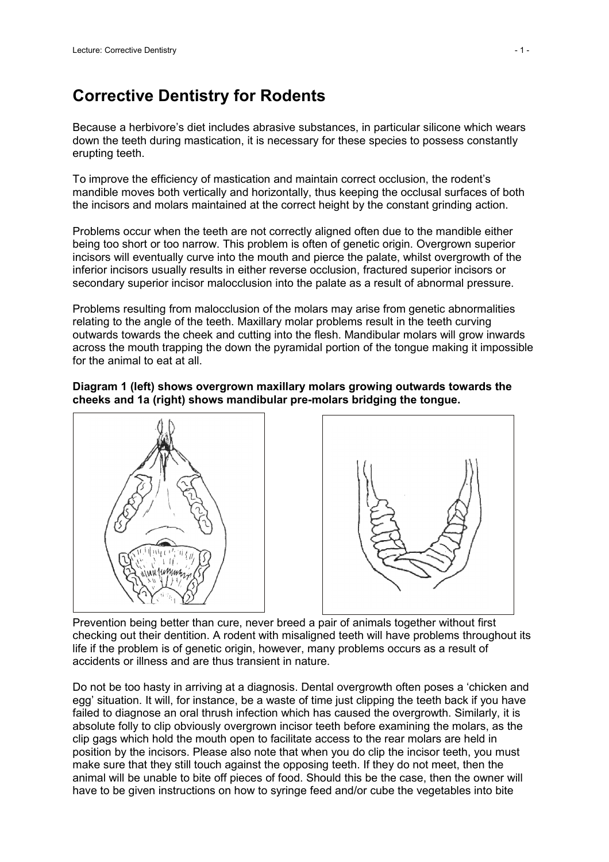## **Corrective Dentistry for Rodents**

Because a herbivore's diet includes abrasive substances, in particular silicone which wears down the teeth during mastication, it is necessary for these species to possess constantly erupting teeth.

To improve the efficiency of mastication and maintain correct occlusion, the rodent's mandible moves both vertically and horizontally, thus keeping the occlusal surfaces of both the incisors and molars maintained at the correct height by the constant grinding action.

Problems occur when the teeth are not correctly aligned often due to the mandible either being too short or too narrow. This problem is often of genetic origin. Overgrown superior incisors will eventually curve into the mouth and pierce the palate, whilst overgrowth of the inferior incisors usually results in either reverse occlusion, fractured superior incisors or secondary superior incisor malocclusion into the palate as a result of abnormal pressure.

Problems resulting from malocclusion of the molars may arise from genetic abnormalities relating to the angle of the teeth. Maxillary molar problems result in the teeth curving outwards towards the cheek and cutting into the flesh. Mandibular molars will grow inwards across the mouth trapping the down the pyramidal portion of the tongue making it impossible for the animal to eat at all.

## **Diagram 1 (left) shows overgrown maxillary molars growing outwards towards the cheeks and 1a (right) shows mandibular pre-molars bridging the tongue.**



Prevention being better than cure, never breed a pair of animals together without first checking out their dentition. A rodent with misaligned teeth will have problems throughout its life if the problem is of genetic origin, however, many problems occurs as a result of accidents or illness and are thus transient in nature.

Do not be too hasty in arriving at a diagnosis. Dental overgrowth often poses a 'chicken and egg' situation. It will, for instance, be a waste of time just clipping the teeth back if you have failed to diagnose an oral thrush infection which has caused the overgrowth. Similarly, it is absolute folly to clip obviously overgrown incisor teeth before examining the molars, as the clip gags which hold the mouth open to facilitate access to the rear molars are held in position by the incisors. Please also note that when you do clip the incisor teeth, you must make sure that they still touch against the opposing teeth. If they do not meet, then the animal will be unable to bite off pieces of food. Should this be the case, then the owner will have to be given instructions on how to syringe feed and/or cube the vegetables into bite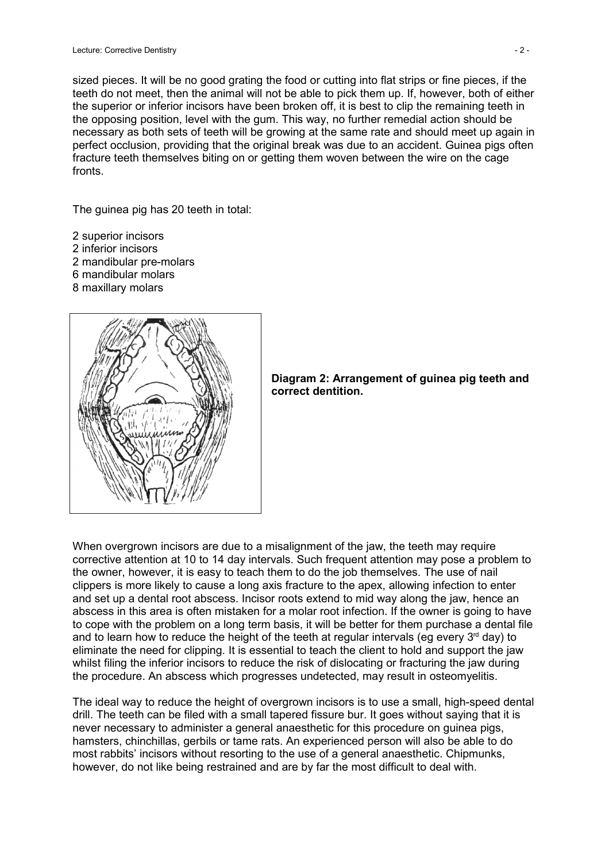sized pieces. It will be no good grating the food or cutting into flat strips or fine pieces, if the teeth do not meet, then the animal will not be able to pick them up. If, however, both of either the superior or inferior incisors have been broken off, it is best to clip the remaining teeth in the opposing position, level with the gum. This way, no further remedial action should be necessary as both sets of teeth will be growing at the same rate and should meet up again in perfect occlusion, providing that the original break was due to an accident. Guinea pigs often fracture teeth themselves biting on or getting them woven between the wire on the cage fronts.

The guinea pig has 20 teeth in total:

- 2 superior incisors
- 2 inferior incisors
- 2 mandibular pre-molars
- 6 mandibular molars
- 8 maxillary molars





When overgrown incisors are due to a misalignment of the jaw, the teeth may require corrective attention at 10 to 14 day intervals. Such frequent attention may pose a problem to the owner, however, it is easy to teach them to do the job themselves. The use of nail clippers is more likely to cause a long axis fracture to the apex, allowing infection to enter and set up a dental root abscess. Incisor roots extend to mid way along the jaw, hence an abscess in this area is often mistaken for a molar root infection. If the owner is going to have to cope with the problem on a long term basis, it will be better for them purchase a dental file and to learn how to reduce the height of the teeth at regular intervals (eg every  $3<sup>rd</sup>$  day) to eliminate the need for clipping. It is essential to teach the client to hold and support the jaw whilst filing the inferior incisors to reduce the risk of dislocating or fracturing the jaw during the procedure. An abscess which progresses undetected, may result in osteomyelitis.

The ideal way to reduce the height of overgrown incisors is to use a small, high-speed dental drill. The teeth can be filed with a small tapered fissure bur. It goes without saying that it is never necessary to administer a general anaesthetic for this procedure on guinea pigs, hamsters, chinchillas, gerbils or tame rats. An experienced person will also be able to do most rabbits' incisors without resorting to the use of a general anaesthetic. Chipmunks, however, do not like being restrained and are by far the most difficult to deal with.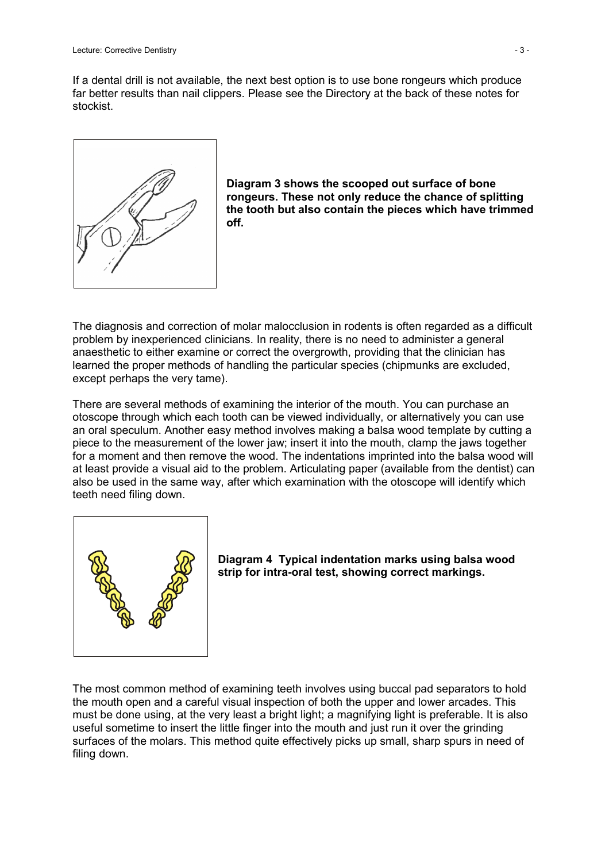If a dental drill is not available, the next best option is to use bone rongeurs which produce far better results than nail clippers. Please see the Directory at the back of these notes for stockist.





The diagnosis and correction of molar malocclusion in rodents is often regarded as a difficult problem by inexperienced clinicians. In reality, there is no need to administer a general anaesthetic to either examine or correct the overgrowth, providing that the clinician has learned the proper methods of handling the particular species (chipmunks are excluded, except perhaps the very tame).

There are several methods of examining the interior of the mouth. You can purchase an otoscope through which each tooth can be viewed individually, or alternatively you can use an oral speculum. Another easy method involves making a balsa wood template by cutting a piece to the measurement of the lower jaw; insert it into the mouth, clamp the jaws together for a moment and then remove the wood. The indentations imprinted into the balsa wood will at least provide a visual aid to the problem. Articulating paper (available from the dentist) can also be used in the same way, after which examination with the otoscope will identify which teeth need filing down.



**Diagram 4 Typical indentation marks using balsa wood strip for intra-oral test, showing correct markings.**

The most common method of examining teeth involves using buccal pad separators to hold the mouth open and a careful visual inspection of both the upper and lower arcades. This must be done using, at the very least a bright light; a magnifying light is preferable. It is also useful sometime to insert the little finger into the mouth and just run it over the grinding surfaces of the molars. This method quite effectively picks up small, sharp spurs in need of filing down.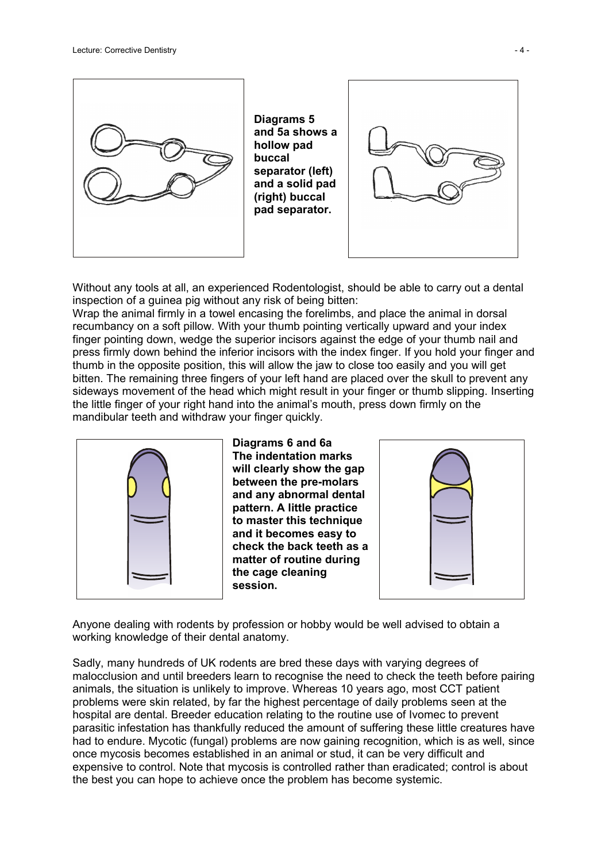

**Diagrams 5 and 5a shows a hollow pad buccal separator (left) and a solid pad (right) buccal pad separator.**



Without any tools at all, an experienced Rodentologist, should be able to carry out a dental inspection of a guinea pig without any risk of being bitten:

Wrap the animal firmly in a towel encasing the forelimbs, and place the animal in dorsal recumbancy on a soft pillow. With your thumb pointing vertically upward and your index finger pointing down, wedge the superior incisors against the edge of your thumb nail and press firmly down behind the inferior incisors with the index finger. If you hold your finger and thumb in the opposite position, this will allow the jaw to close too easily and you will get bitten. The remaining three fingers of your left hand are placed over the skull to prevent any sideways movement of the head which might result in your finger or thumb slipping. Inserting the little finger of your right hand into the animal's mouth, press down firmly on the mandibular teeth and withdraw your finger quickly.



**Diagrams 6 and 6a The indentation marks will clearly show the gap between the pre-molars and any abnormal dental pattern. A little practice to master this technique and it becomes easy to check the back teeth as a matter of routine during the cage cleaning session.**



Anyone dealing with rodents by profession or hobby would be well advised to obtain a working knowledge of their dental anatomy.

Sadly, many hundreds of UK rodents are bred these days with varying degrees of malocclusion and until breeders learn to recognise the need to check the teeth before pairing animals, the situation is unlikely to improve. Whereas 10 years ago, most CCT patient problems were skin related, by far the highest percentage of daily problems seen at the hospital are dental. Breeder education relating to the routine use of Ivomec to prevent parasitic infestation has thankfully reduced the amount of suffering these little creatures have had to endure. Mycotic (fungal) problems are now gaining recognition, which is as well, since once mycosis becomes established in an animal or stud, it can be very difficult and expensive to control. Note that mycosis is controlled rather than eradicated; control is about the best you can hope to achieve once the problem has become systemic.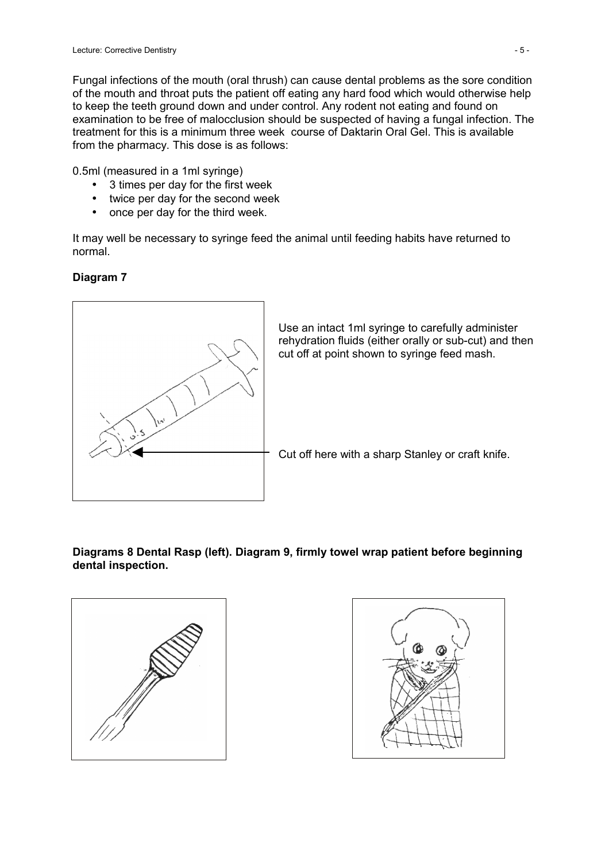Fungal infections of the mouth (oral thrush) can cause dental problems as the sore condition of the mouth and throat puts the patient off eating any hard food which would otherwise help to keep the teeth ground down and under control. Any rodent not eating and found on examination to be free of malocclusion should be suspected of having a fungal infection. The treatment for this is a minimum three week course of Daktarin Oral Gel. This is available from the pharmacy. This dose is as follows:

0.5ml (measured in a 1ml syringe)

- 3 times per day for the first week
- twice per day for the second week
- once per day for the third week.

It may well be necessary to syringe feed the animal until feeding habits have returned to normal.

## **Diagram 7**



## **Diagrams 8 Dental Rasp (left). Diagram 9, firmly towel wrap patient before beginning dental inspection.**



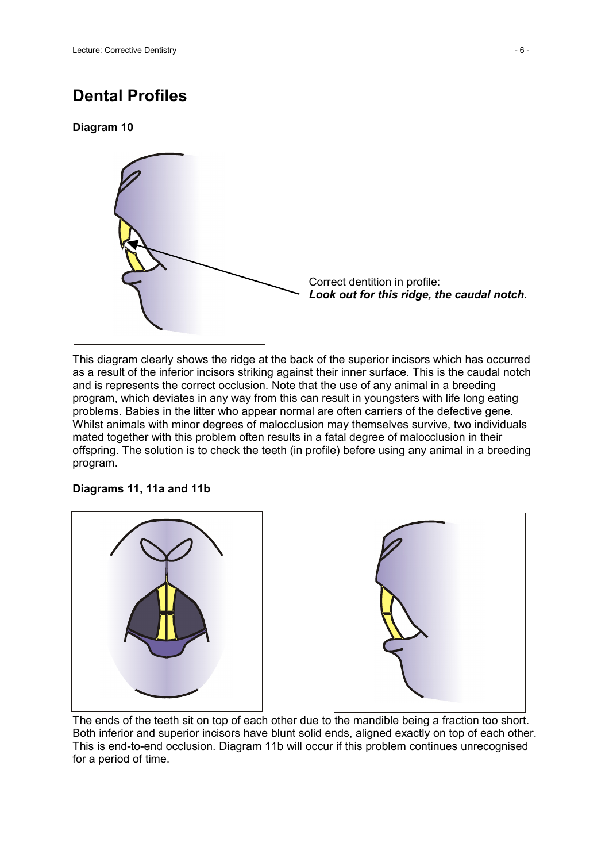# **Dental Profiles**

## **Diagram 10**



This diagram clearly shows the ridge at the back of the superior incisors which has occurred as a result of the inferior incisors striking against their inner surface. This is the caudal notch and is represents the correct occlusion. Note that the use of any animal in a breeding program, which deviates in any way from this can result in youngsters with life long eating problems. Babies in the litter who appear normal are often carriers of the defective gene. Whilst animals with minor degrees of malocclusion may themselves survive, two individuals mated together with this problem often results in a fatal degree of malocclusion in their offspring. The solution is to check the teeth (in profile) before using any animal in a breeding program.

## **Diagrams 11, 11a and 11b**



The ends of the teeth sit on top of each other due to the mandible being a fraction too short. Both inferior and superior incisors have blunt solid ends, aligned exactly on top of each other. This is end-to-end occlusion. Diagram 11b will occur if this problem continues unrecognised for a period of time.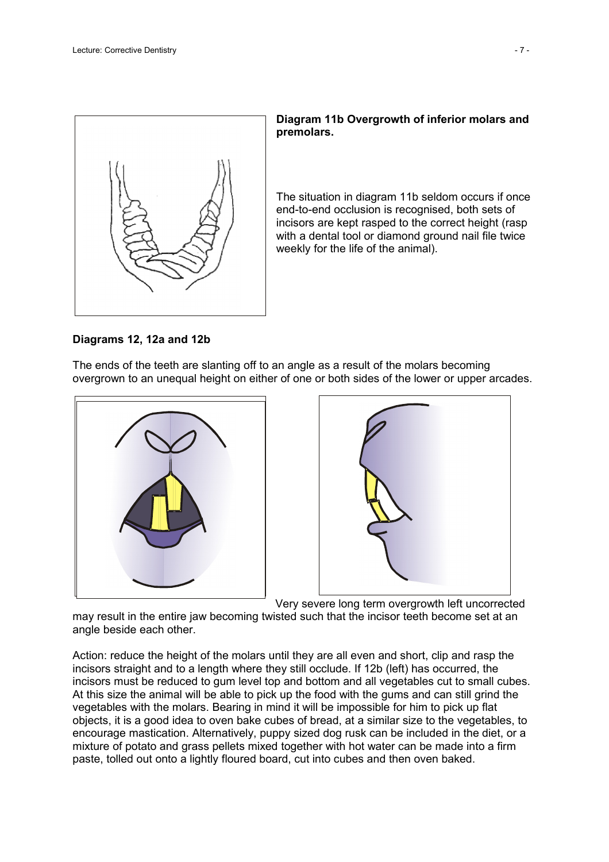

## **Diagram 11b Overgrowth of inferior molars and premolars.**

The situation in diagram 11b seldom occurs if once end-to-end occlusion is recognised, both sets of incisors are kept rasped to the correct height (rasp with a dental tool or diamond ground nail file twice weekly for the life of the animal).

#### **Diagrams 12, 12a and 12b**

The ends of the teeth are slanting off to an angle as a result of the molars becoming overgrown to an unequal height on either of one or both sides of the lower or upper arcades.





Very severe long term overgrowth left uncorrected

may result in the entire jaw becoming twisted such that the incisor teeth become set at an angle beside each other.

Action: reduce the height of the molars until they are all even and short, clip and rasp the incisors straight and to a length where they still occlude. If 12b (left) has occurred, the incisors must be reduced to gum level top and bottom and all vegetables cut to small cubes. At this size the animal will be able to pick up the food with the gums and can still grind the vegetables with the molars. Bearing in mind it will be impossible for him to pick up flat objects, it is a good idea to oven bake cubes of bread, at a similar size to the vegetables, to encourage mastication. Alternatively, puppy sized dog rusk can be included in the diet, or a mixture of potato and grass pellets mixed together with hot water can be made into a firm paste, tolled out onto a lightly floured board, cut into cubes and then oven baked.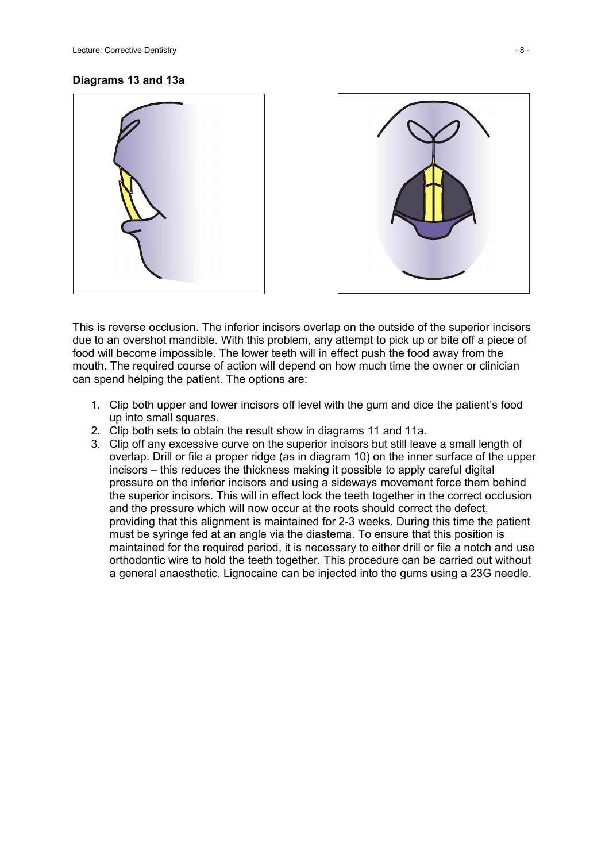#### **Diagrams 13 and 13a**





This is reverse occlusion. The inferior incisors overlap on the outside of the superior incisors due to an overshot mandible. With this problem, any attempt to pick up or bite off a piece of food will become impossible. The lower teeth will in effect push the food away from the mouth. The required course of action will depend on how much time the owner or clinician can spend helping the patient. The options are:

- 1. Clip both upper and lower incisors off level with the gum and dice the patient's food up into small squares.
- 2. Clip both sets to obtain the result show in diagrams 11 and 11a.
- 3. Clip off any excessive curve on the superior incisors but still leave a small length of overlap. Drill or file a proper ridge (as in diagram 10) on the inner surface of the upper incisors – this reduces the thickness making it possible to apply careful digital pressure on the inferior incisors and using a sideways movement force them behind the superior incisors. This will in effect lock the teeth together in the correct occlusion and the pressure which will now occur at the roots should correct the defect, providing that this alignment is maintained for 2-3 weeks. During this time the patient must be syringe fed at an angle via the diastema. To ensure that this position is maintained for the required period, it is necessary to either drill or file a notch and use orthodontic wire to hold the teeth together. This procedure can be carried out without a general anaesthetic. Lignocaine can be injected into the gums using a 23G needle.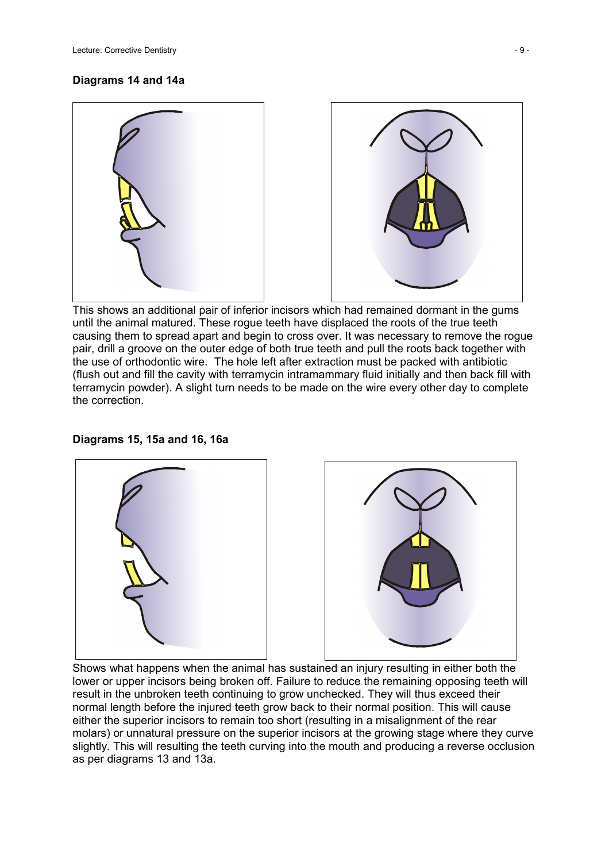#### **Diagrams 14 and 14a**



This shows an additional pair of inferior incisors which had remained dormant in the gums until the animal matured. These rogue teeth have displaced the roots of the true teeth causing them to spread apart and begin to cross over. It was necessary to remove the rogue pair, drill a groove on the outer edge of both true teeth and pull the roots back together with the use of orthodontic wire. The hole left after extraction must be packed with antibiotic (flush out and fill the cavity with terramycin intramammary fluid initially and then back fill with terramycin powder). A slight turn needs to be made on the wire every other day to complete the correction.

#### **Diagrams 15, 15a and 16, 16a**



Shows what happens when the animal has sustained an injury resulting in either both the lower or upper incisors being broken off. Failure to reduce the remaining opposing teeth will result in the unbroken teeth continuing to grow unchecked. They will thus exceed their normal length before the injured teeth grow back to their normal position. This will cause either the superior incisors to remain too short (resulting in a misalignment of the rear molars) or unnatural pressure on the superior incisors at the growing stage where they curve slightly. This will resulting the teeth curving into the mouth and producing a reverse occlusion as per diagrams 13 and 13a.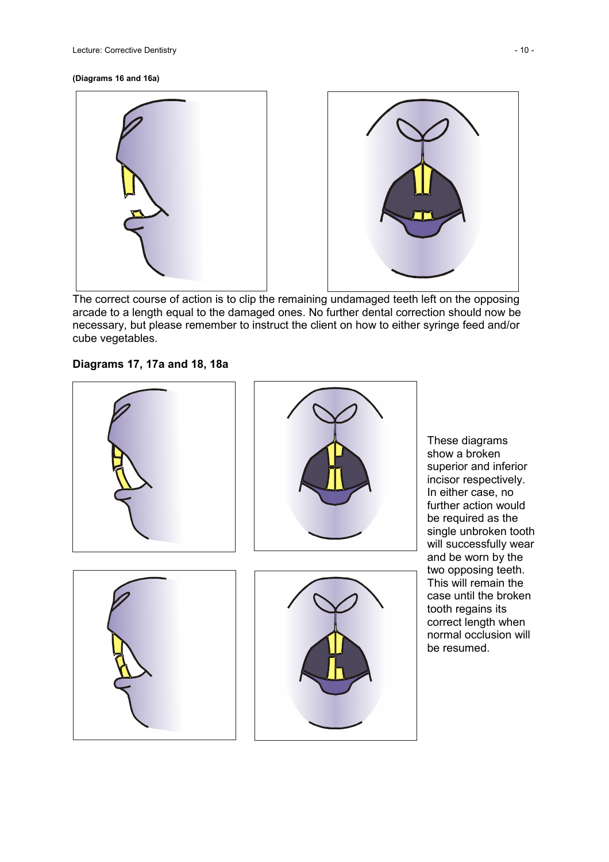

The correct course of action is to clip the remaining undamaged teeth left on the opposing arcade to a length equal to the damaged ones. No further dental correction should now be necessary, but please remember to instruct the client on how to either syringe feed and/or cube vegetables.

## **Diagrams 17, 17a and 18, 18a**



These diagrams show a broken superior and inferior incisor respectively. In either case, no further action would be required as the single unbroken tooth will successfully wear and be worn by the two opposing teeth. This will remain the case until the broken tooth regains its correct length when normal occlusion will be resumed.